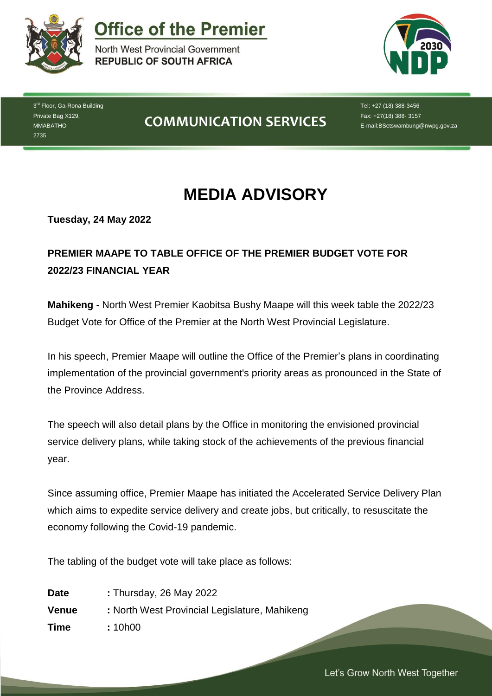

**Office of the Premier** 

North West Provincial Government **REPUBLIC OF SOUTH AFRICA** 



3<sup>rd</sup> Floor, Ga-Rona Building Private Bag X129, MMABATHO 2735

## **COMMUNICATION SERVICES**

Tel: +27 (18) 388-3456 Fax: +27(18) 388- 3157 E-mail:BSetswambung@nwpg.gov.za

# **MEDIA ADVISORY**

**Tuesday, 24 May 2022**

## **PREMIER MAAPE TO TABLE OFFICE OF THE PREMIER BUDGET VOTE FOR 2022/23 FINANCIAL YEAR**

**Mahikeng** - North West Premier Kaobitsa Bushy Maape will this week table the 2022/23 Budget Vote for Office of the Premier at the North West Provincial Legislature.

In his speech, Premier Maape will outline the Office of the Premier's plans in coordinating implementation of the provincial government's priority areas as pronounced in the State of the Province Address.

The speech will also detail plans by the Office in monitoring the envisioned provincial service delivery plans, while taking stock of the achievements of the previous financial year.

Since assuming office, Premier Maape has initiated the Accelerated Service Delivery Plan which aims to expedite service delivery and create jobs, but critically, to resuscitate the economy following the Covid-19 pandemic.

*Let's Grow North West Together* 

The tabling of the budget vote will take place as follows:

| <b>Date</b> | : Thursday, 26 May 2022                       |
|-------------|-----------------------------------------------|
| Venue       | : North West Provincial Legislature, Mahikeng |
| <b>Time</b> | : 10h00                                       |

Let's Grow North West Together